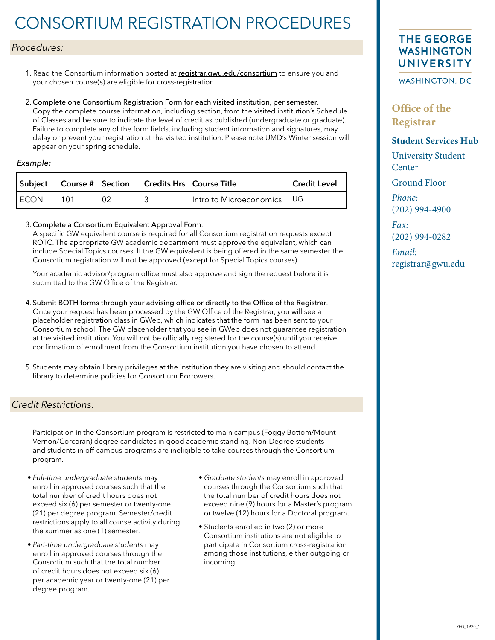# CONSORTIUM REGISTRATION PROCEDURES

#### *Procedures:*

- 1. Read the Consortium information posted at [registrar.gwu.edu/consortium](http://registrar.gwu.edu/consortium) to ensure you and your chosen course(s) are eligible for cross-registration.
- 2. Complete one Consortium Registration Form for each visited institution, per semester. Copy the complete course information, including section, from the visited institution's Schedule of Classes and be sure to indicate the level of credit as published (undergraduate or graduate). Failure to complete any of the form fields, including student information and signatures, may delay or prevent your registration at the visited institution. Please note UMD's Winter session will appear on your spring schedule.

#### Example:

| $ \textsf{Subject} $ Course # Section |  | Credits Hrs   Course Title   | <b>Credit Level</b> |
|---------------------------------------|--|------------------------------|---------------------|
| <b>ECON</b>                           |  | Intro to Microeconomics   UG |                     |

#### 3. Complete a Consortium Equivalent Approval Form.

A specific GW equivalent course is required for all Consortium registration requests except ROTC. The appropriate GW academic department must approve the equivalent, which can include Special Topics courses. If the GW equivalent is being offered in the same semester the Consortium registration will not be approved (except for Special Topics courses).

Your academic advisor/program office must also approve and sign the request before it is submitted to the GW Office of the Registrar.

- 4. Submit BOTH forms through your advising office or directly to the Office of the Registrar. Once your request has been processed by the GW Office of the Registrar, you will see a placeholder registration class in GWeb, which indicates that the form has been sent to your Consortium school. The GW placeholder that you see in GWeb does not guarantee registration at the visited institution. You will not be officially registered for the course(s) until you receive confirmation of enrollment from the Consortium institution you have chosen to attend.
- 5. Students may obtain library privileges at the institution they are visiting and should contact the library to determine policies for Consortium Borrowers.

#### *Credit Restrictions:*

Participation in the Consortium program is restricted to main campus (Foggy Bottom/Mount Vernon/Corcoran) degree candidates in good academic standing. Non-Degree students and students in off-campus programs are ineligible to take courses through the Consortium program.

- *Full-time undergraduate students* may enroll in approved courses such that the total number of credit hours does not exceed six (6) per semester or twenty-one (21) per degree program. Semester/credit restrictions apply to all course activity during the summer as one (1) semester.
- *Part-time undergraduate students* may enroll in approved courses through the Consortium such that the total number of credit hours does not exceed six (6) per academic year or twenty-one (21) per degree program.
- *Graduate students* may enroll in approved courses through the Consortium such that the total number of credit hours does not exceed nine (9) hours for a Master's program or twelve (12) hours for a Doctoral program.
- Students enrolled in two (2) or more Consortium institutions are not eligible to participate in Consortium cross-registration among those institutions, either outgoing or incoming.

### **THE GEORGE WASHINGTON UNIVERSITY**

WASHINGTON, DC

**Office of the Registrar**

**Student Services Hub**

University Student **Center** 

Ground Floor

*Phone:*  (202) 994-4900

*Fax:* (202) [994-0282](mailto:consortium@gwu.edu)

*Email:*  registrar@gwu.edu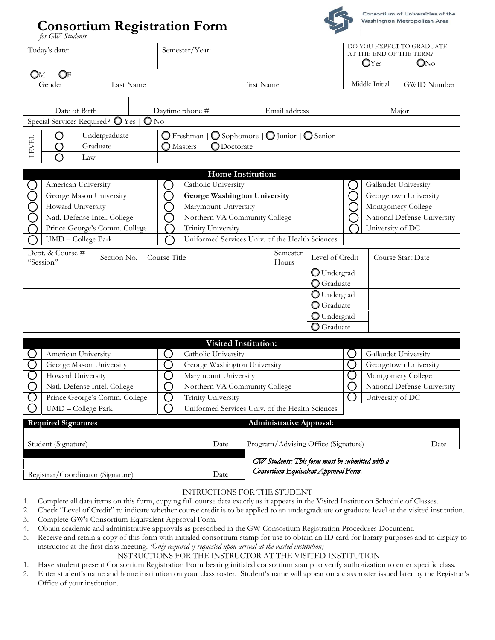# **Consortium Registration Form**



|                                                                    | for GW Students               |                                  |                       |                                                 |                                                                              |                             |                                                          |                      |                       |                                                   |                                                                               |
|--------------------------------------------------------------------|-------------------------------|----------------------------------|-----------------------|-------------------------------------------------|------------------------------------------------------------------------------|-----------------------------|----------------------------------------------------------|----------------------|-----------------------|---------------------------------------------------|-------------------------------------------------------------------------------|
|                                                                    | Today's date:                 |                                  |                       |                                                 | Semester/Year:                                                               |                             |                                                          |                      |                       | OYes                                              | DO YOU EXPECT TO GRADUATE<br>AT THE END OF THE TERM?<br>$\mathbb{O}N\text{o}$ |
| Oм                                                                 | OF                            |                                  |                       |                                                 |                                                                              |                             |                                                          |                      |                       |                                                   |                                                                               |
|                                                                    | Gender                        | Last Name                        |                       |                                                 |                                                                              | First Name                  |                                                          |                      |                       | Middle Initial                                    | <b>GWID Number</b>                                                            |
|                                                                    |                               |                                  |                       |                                                 |                                                                              |                             |                                                          |                      |                       |                                                   |                                                                               |
|                                                                    | Date of Birth                 |                                  |                       |                                                 | Daytime phone #                                                              |                             | Email address                                            |                      |                       |                                                   | Major                                                                         |
|                                                                    |                               | Special Services Required? O Yes | $\mathbb{O}N^{\rm o}$ |                                                 |                                                                              |                             |                                                          |                      |                       |                                                   |                                                                               |
|                                                                    | O                             | Undergraduate                    |                       |                                                 | $\bigcirc$ Freshman                                                          |                             | $\bigcirc$ Sophomore $\bigcirc$ Junior $\bigcirc$ Senior |                      |                       |                                                   |                                                                               |
| <b>LEVEL</b>                                                       | ◯                             | Graduate                         |                       |                                                 | $\bigcap$ Masters<br>$\bigcirc$ Doctorate                                    |                             |                                                          |                      |                       |                                                   |                                                                               |
|                                                                    | ◯                             | Law                              |                       |                                                 |                                                                              |                             |                                                          |                      |                       |                                                   |                                                                               |
|                                                                    |                               |                                  |                       |                                                 |                                                                              |                             |                                                          |                      |                       |                                                   |                                                                               |
|                                                                    |                               |                                  |                       |                                                 |                                                                              | <b>Home Institution:</b>    |                                                          |                      |                       |                                                   |                                                                               |
|                                                                    | American University           |                                  |                       |                                                 | Catholic University                                                          |                             |                                                          |                      |                       |                                                   | Gallaudet University                                                          |
|                                                                    |                               | George Mason University          |                       |                                                 | George Washington University                                                 |                             |                                                          |                      |                       |                                                   | Georgetown University<br>Montgomery College                                   |
| Howard University                                                  |                               |                                  |                       |                                                 | Marymount University<br>Northern VA Community College                        |                             |                                                          |                      |                       | National Defense University                       |                                                                               |
| Natl. Defense Intel. College                                       |                               |                                  |                       | <b>Trinity University</b>                       |                                                                              |                             |                                                          |                      |                       |                                                   |                                                                               |
| Prince George's Comm. College<br>UMD - College Park                |                               |                                  |                       | Uniformed Services Univ. of the Health Sciences |                                                                              |                             |                                                          | University of DC     |                       |                                                   |                                                                               |
|                                                                    |                               |                                  |                       |                                                 |                                                                              |                             |                                                          |                      |                       |                                                   |                                                                               |
|                                                                    | Dept. & Course #<br>"Session" | Section No.                      |                       | Course Title                                    |                                                                              |                             | Semester<br>Hours                                        | Level of Credit      |                       |                                                   | Course Start Date                                                             |
|                                                                    |                               |                                  |                       |                                                 |                                                                              |                             |                                                          | $\bigcirc$ Undergrad |                       |                                                   |                                                                               |
|                                                                    |                               |                                  |                       |                                                 |                                                                              |                             |                                                          | $\bigcirc$ Graduate  |                       |                                                   |                                                                               |
|                                                                    |                               |                                  |                       |                                                 |                                                                              |                             |                                                          | O Undergrad          |                       |                                                   |                                                                               |
|                                                                    |                               |                                  |                       |                                                 |                                                                              |                             |                                                          | <b>O</b> Graduate    |                       |                                                   |                                                                               |
|                                                                    |                               |                                  |                       |                                                 |                                                                              |                             |                                                          | O Undergrad          |                       |                                                   |                                                                               |
|                                                                    |                               |                                  |                       |                                                 |                                                                              |                             |                                                          | <b>O</b> Graduate    |                       |                                                   |                                                                               |
|                                                                    |                               |                                  |                       |                                                 |                                                                              |                             |                                                          |                      |                       |                                                   |                                                                               |
|                                                                    |                               |                                  |                       |                                                 |                                                                              | <b>Visited Institution:</b> |                                                          |                      |                       |                                                   |                                                                               |
| American University                                                |                               |                                  |                       | Catholic University                             |                                                                              |                             | $\Box$                                                   |                      | Gallaudet University  |                                                   |                                                                               |
| George Mason University<br>Howard University                       |                               |                                  | 〔 〕<br>$\bar{ }$ )    | George Washington University                    |                                                                              |                             | $\left(\begin{array}{c} 1 \end{array}\right)$            |                      | Georgetown University |                                                   |                                                                               |
|                                                                    |                               |                                  |                       | ◯                                               | Marymount University                                                         |                             |                                                          | О                    |                       | Montgomery College<br>National Defense University |                                                                               |
| С<br>Natl. Defense Intel. College<br>Prince George's Comm. College |                               |                                  |                       |                                                 | Northern VA Community College                                                |                             |                                                          | ∩                    |                       |                                                   |                                                                               |
|                                                                    |                               |                                  |                       | ◯                                               | <b>Trinity University</b><br>Uniformed Services Univ. of the Health Sciences |                             |                                                          |                      |                       | University of DC                                  |                                                                               |
|                                                                    |                               | UMD - College Park               |                       |                                                 |                                                                              |                             |                                                          |                      |                       |                                                   |                                                                               |

| <b>Required Signatures</b>        |      | <b>Administrative Approval:</b>                 |      |
|-----------------------------------|------|-------------------------------------------------|------|
|                                   |      |                                                 |      |
| Student (Signature)               | Date | Program/Advising Office (Signature)             | Date |
|                                   |      |                                                 |      |
|                                   |      | GW Students: This form must be submitted with a |      |
| Registrar/Coordinator (Signature) | Date | Consortium Equivalent Approval Form.            |      |

#### INTRUCTIONS FOR THE STUDENT

- 1. Complete all data items on this form, copying full course data exactly as it appears in the Visited Institution Schedule of Classes.
- 2. Check "Level of Credit" to indicate whether course credit is to be applied to an undergraduate or graduate level at the visited institution. 3. Complete GW's Consortium Equivalent Approval Form.
- 4. Obtain academic and administrative approvals as prescribed in the GW Consortium Registration Procedures Document.
- 5. Receive and retain a copy of this form with initialed consortium stamp for use to obtain an ID card for library purposes and to display to instructor at the first class meeting. *(Only required if requested upon arrival at the visited institution)*

#### INSTRUCTIONS FOR THE INSTRUCTOR AT THE VISITED INSTITUTION

- 1. Have student present Consortium Registration Form bearing initialed consortium stamp to verify authorization to enter specific class.
- 2. Enter student's name and home institution on your class roster. Student's name will appear on a class roster issued later by the Registrar's Office of your institution.